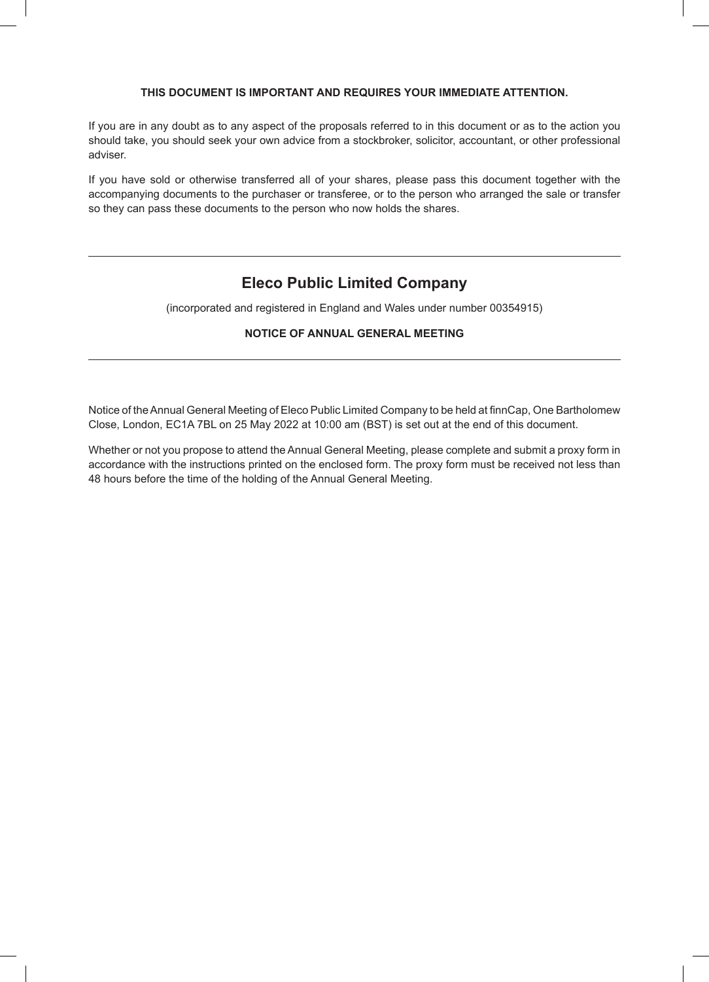# **THIS DOCUMENT IS IMPORTANT AND REQUIRES YOUR IMMEDIATE ATTENTION.**

If you are in any doubt as to any aspect of the proposals referred to in this document or as to the action you should take, you should seek your own advice from a stockbroker, solicitor, accountant, or other professional adviser.

If you have sold or otherwise transferred all of your shares, please pass this document together with the accompanying documents to the purchaser or transferee, or to the person who arranged the sale or transfer so they can pass these documents to the person who now holds the shares.

# **Eleco Public Limited Company**

(incorporated and registered in England and Wales under number 00354915)

# **NOTICE OF ANNUAL GENERAL MEETING**

Notice of the Annual General Meeting of Eleco Public Limited Company to be held at finnCap, One Bartholomew Close, London, EC1A 7BL on 25 May 2022 at 10:00 am (BST) is set out at the end of this document.

Whether or not you propose to attend the Annual General Meeting, please complete and submit a proxy form in accordance with the instructions printed on the enclosed form. The proxy form must be received not less than 48 hours before the time of the holding of the Annual General Meeting.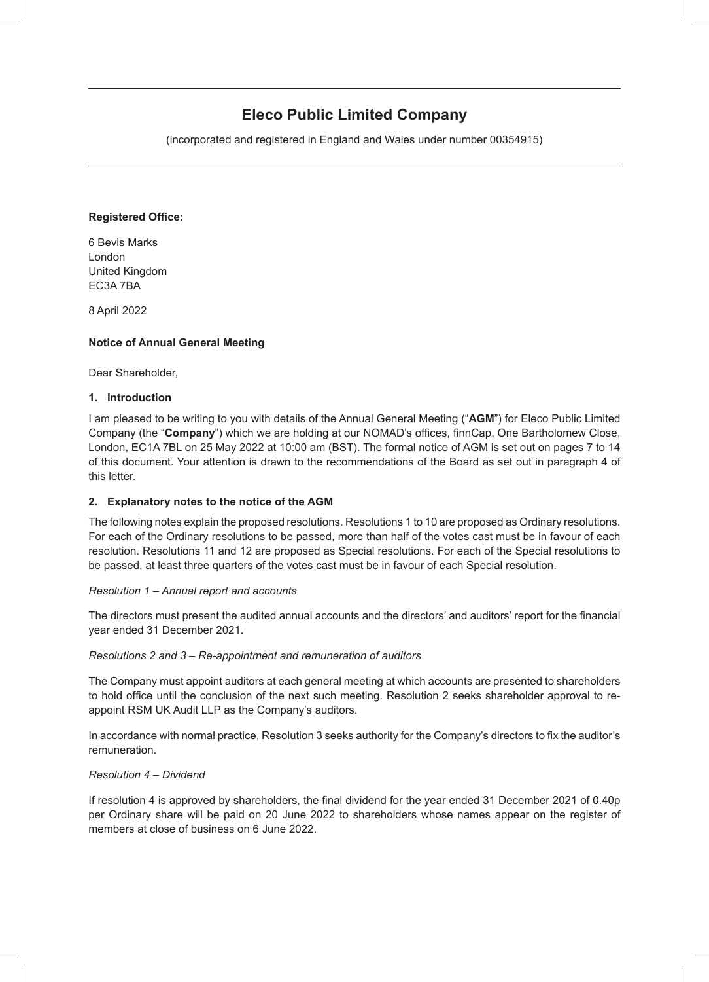# **Eleco Public Limited Company**

(incorporated and registered in England and Wales under number 00354915)

# **Registered Office:**

6 Bevis Marks London United Kingdom EC3A 7BA

8 April 2022

# **Notice of Annual General Meeting**

Dear Shareholder,

# **1. Introduction**

I am pleased to be writing to you with details of the Annual General Meeting ("**AGM**") for Eleco Public Limited Company (the "**Company**") which we are holding at our NOMAD's offices, finnCap, One Bartholomew Close, London, EC1A 7BL on 25 May 2022 at 10:00 am (BST). The formal notice of AGM is set out on pages 7 to 14 of this document. Your attention is drawn to the recommendations of the Board as set out in paragraph 4 of this letter.

## **2. Explanatory notes to the notice of the AGM**

The following notes explain the proposed resolutions. Resolutions 1 to 10 are proposed as Ordinary resolutions. For each of the Ordinary resolutions to be passed, more than half of the votes cast must be in favour of each resolution. Resolutions 11 and 12 are proposed as Special resolutions. For each of the Special resolutions to be passed, at least three quarters of the votes cast must be in favour of each Special resolution.

## *Resolution 1 – Annual report and accounts*

The directors must present the audited annual accounts and the directors' and auditors' report for the financial year ended 31 December 2021.

## *Resolutions 2 and 3 – Re-appointment and remuneration of auditors*

The Company must appoint auditors at each general meeting at which accounts are presented to shareholders to hold office until the conclusion of the next such meeting. Resolution 2 seeks shareholder approval to reappoint RSM UK Audit LLP as the Company's auditors.

In accordance with normal practice, Resolution 3 seeks authority for the Company's directors to fix the auditor's remuneration.

## *Resolution 4 – Dividend*

If resolution 4 is approved by shareholders, the final dividend for the year ended 31 December 2021 of 0.40p per Ordinary share will be paid on 20 June 2022 to shareholders whose names appear on the register of members at close of business on 6 June 2022.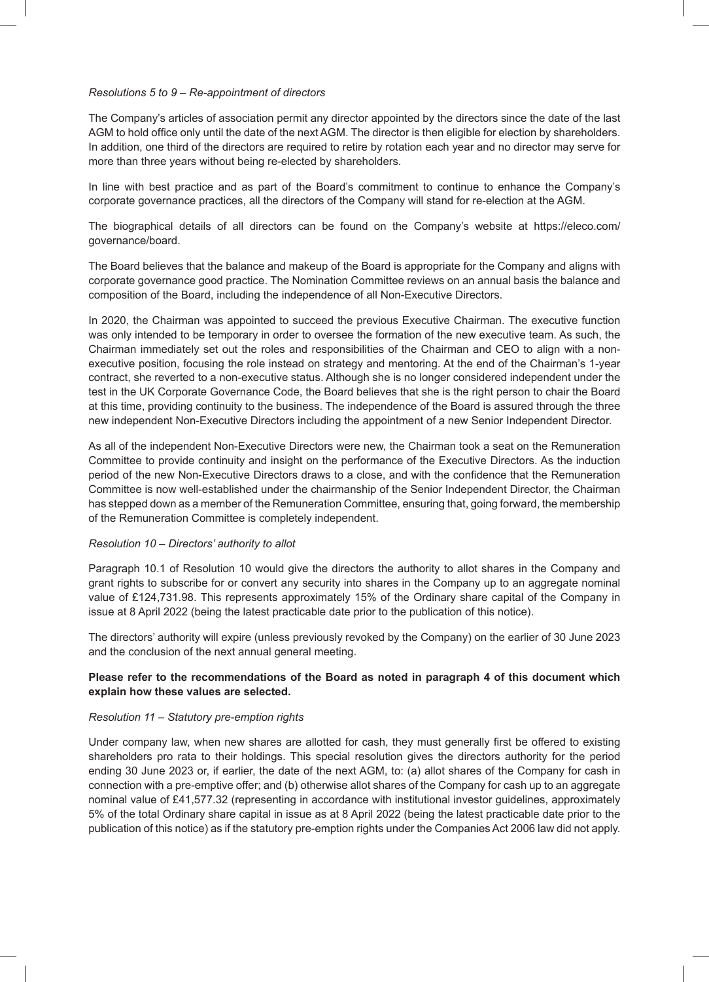## *Resolutions 5 to 9 – Re-appointment of directors*

The Company's articles of association permit any director appointed by the directors since the date of the last AGM to hold office only until the date of the next AGM. The director is then eligible for election by shareholders. In addition, one third of the directors are required to retire by rotation each year and no director may serve for more than three years without being re-elected by shareholders.

In line with best practice and as part of the Board's commitment to continue to enhance the Company's corporate governance practices, all the directors of the Company will stand for re-election at the AGM.

The biographical details of all directors can be found on the Company's website at https://eleco.com/ governance/board.

The Board believes that the balance and makeup of the Board is appropriate for the Company and aligns with corporate governance good practice. The Nomination Committee reviews on an annual basis the balance and composition of the Board, including the independence of all Non-Executive Directors.

In 2020, the Chairman was appointed to succeed the previous Executive Chairman. The executive function was only intended to be temporary in order to oversee the formation of the new executive team. As such, the Chairman immediately set out the roles and responsibilities of the Chairman and CEO to align with a nonexecutive position, focusing the role instead on strategy and mentoring. At the end of the Chairman's 1-year contract, she reverted to a non-executive status. Although she is no longer considered independent under the test in the UK Corporate Governance Code, the Board believes that she is the right person to chair the Board at this time, providing continuity to the business. The independence of the Board is assured through the three new independent Non-Executive Directors including the appointment of a new Senior Independent Director.

As all of the independent Non-Executive Directors were new, the Chairman took a seat on the Remuneration Committee to provide continuity and insight on the performance of the Executive Directors. As the induction period of the new Non-Executive Directors draws to a close, and with the confidence that the Remuneration Committee is now well-established under the chairmanship of the Senior Independent Director, the Chairman has stepped down as a member of the Remuneration Committee, ensuring that, going forward, the membership of the Remuneration Committee is completely independent.

### *Resolution 10 – Directors' authority to allot*

Paragraph 10.1 of Resolution 10 would give the directors the authority to allot shares in the Company and grant rights to subscribe for or convert any security into shares in the Company up to an aggregate nominal value of £124,731.98. This represents approximately 15% of the Ordinary share capital of the Company in issue at 8 April 2022 (being the latest practicable date prior to the publication of this notice).

The directors' authority will expire (unless previously revoked by the Company) on the earlier of 30 June 2023 and the conclusion of the next annual general meeting.

## **Please refer to the recommendations of the Board as noted in paragraph 4 of this document which explain how these values are selected.**

#### *Resolution 11 – Statutory pre-emption rights*

Under company law, when new shares are allotted for cash, they must generally first be offered to existing shareholders pro rata to their holdings. This special resolution gives the directors authority for the period ending 30 June 2023 or, if earlier, the date of the next AGM, to: (a) allot shares of the Company for cash in connection with a pre-emptive offer; and (b) otherwise allot shares of the Company for cash up to an aggregate nominal value of £41,577.32 (representing in accordance with institutional investor guidelines, approximately 5% of the total Ordinary share capital in issue as at 8 April 2022 (being the latest practicable date prior to the publication of this notice) as if the statutory pre-emption rights under the Companies Act 2006 law did not apply.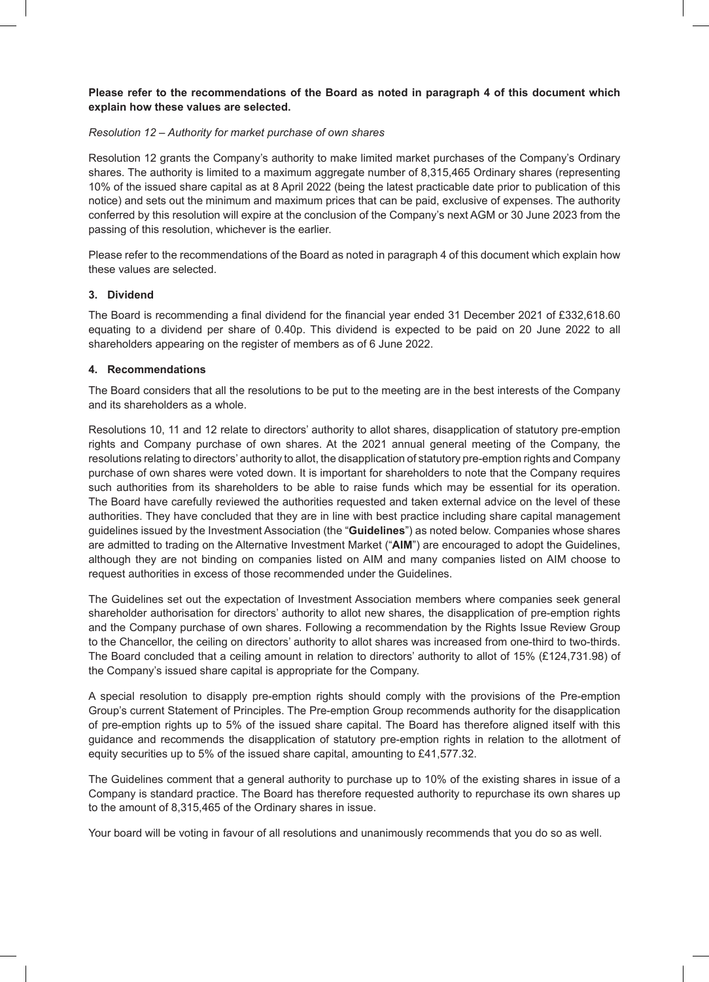# **Please refer to the recommendations of the Board as noted in paragraph 4 of this document which explain how these values are selected.**

# *Resolution 12 – Authority for market purchase of own shares*

Resolution 12 grants the Company's authority to make limited market purchases of the Company's Ordinary shares. The authority is limited to a maximum aggregate number of 8,315,465 Ordinary shares (representing 10% of the issued share capital as at 8 April 2022 (being the latest practicable date prior to publication of this notice) and sets out the minimum and maximum prices that can be paid, exclusive of expenses. The authority conferred by this resolution will expire at the conclusion of the Company's next AGM or 30 June 2023 from the passing of this resolution, whichever is the earlier.

Please refer to the recommendations of the Board as noted in paragraph 4 of this document which explain how these values are selected.

## **3. Dividend**

The Board is recommending a final dividend for the financial year ended 31 December 2021 of £332,618.60 equating to a dividend per share of 0.40p. This dividend is expected to be paid on 20 June 2022 to all shareholders appearing on the register of members as of 6 June 2022.

## **4. Recommendations**

The Board considers that all the resolutions to be put to the meeting are in the best interests of the Company and its shareholders as a whole.

Resolutions 10, 11 and 12 relate to directors' authority to allot shares, disapplication of statutory pre-emption rights and Company purchase of own shares. At the 2021 annual general meeting of the Company, the resolutions relating to directors' authority to allot, the disapplication of statutory pre-emption rights and Company purchase of own shares were voted down. It is important for shareholders to note that the Company requires such authorities from its shareholders to be able to raise funds which may be essential for its operation. The Board have carefully reviewed the authorities requested and taken external advice on the level of these authorities. They have concluded that they are in line with best practice including share capital management guidelines issued by the Investment Association (the "**Guidelines**") as noted below. Companies whose shares are admitted to trading on the Alternative Investment Market ("**AIM**") are encouraged to adopt the Guidelines, although they are not binding on companies listed on AIM and many companies listed on AIM choose to request authorities in excess of those recommended under the Guidelines.

The Guidelines set out the expectation of Investment Association members where companies seek general shareholder authorisation for directors' authority to allot new shares, the disapplication of pre-emption rights and the Company purchase of own shares. Following a recommendation by the Rights Issue Review Group to the Chancellor, the ceiling on directors' authority to allot shares was increased from one-third to two-thirds. The Board concluded that a ceiling amount in relation to directors' authority to allot of 15% (£124,731.98) of the Company's issued share capital is appropriate for the Company.

A special resolution to disapply pre-emption rights should comply with the provisions of the Pre-emption Group's current Statement of Principles. The Pre-emption Group recommends authority for the disapplication of pre-emption rights up to 5% of the issued share capital. The Board has therefore aligned itself with this guidance and recommends the disapplication of statutory pre-emption rights in relation to the allotment of equity securities up to 5% of the issued share capital, amounting to £41,577.32.

The Guidelines comment that a general authority to purchase up to 10% of the existing shares in issue of a Company is standard practice. The Board has therefore requested authority to repurchase its own shares up to the amount of 8,315,465 of the Ordinary shares in issue.

Your board will be voting in favour of all resolutions and unanimously recommends that you do so as well.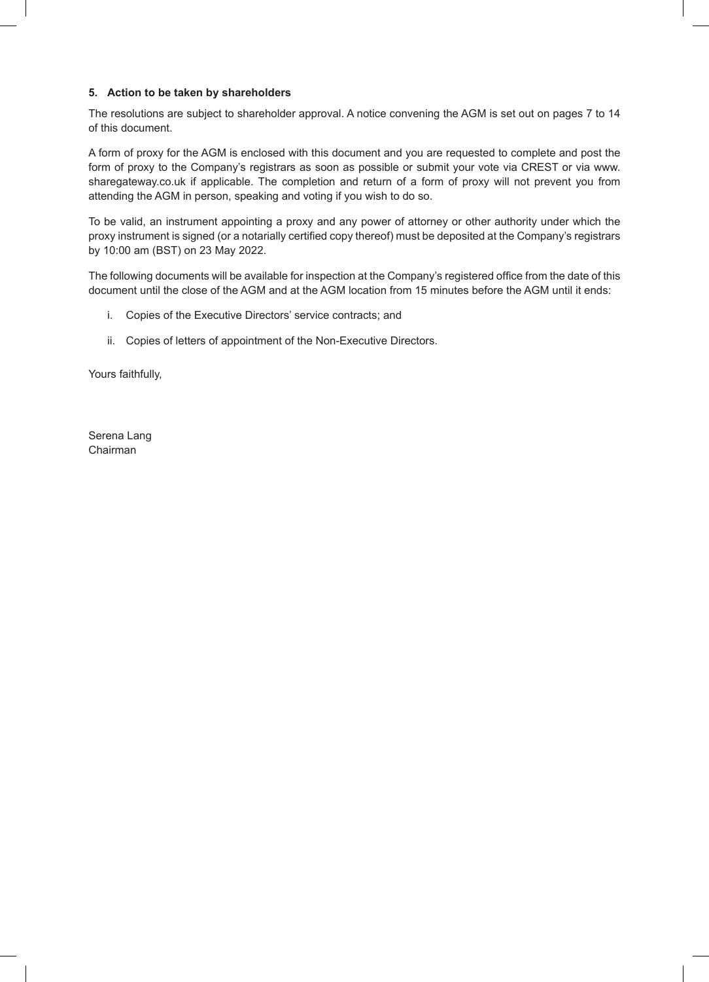# **5. Action to be taken by shareholders**

The resolutions are subject to shareholder approval. A notice convening the AGM is set out on pages 7 to 14 of this document.

A form of proxy for the AGM is enclosed with this document and you are requested to complete and post the form of proxy to the Company's registrars as soon as possible or submit your vote via CREST or via www. sharegateway.co.uk if applicable. The completion and return of a form of proxy will not prevent you from attending the AGM in person, speaking and voting if you wish to do so.

To be valid, an instrument appointing a proxy and any power of attorney or other authority under which the proxy instrument is signed (or a notarially certified copy thereof) must be deposited at the Company's registrars by 10:00 am (BST) on 23 May 2022.

The following documents will be available for inspection at the Company's registered office from the date of this document until the close of the AGM and at the AGM location from 15 minutes before the AGM until it ends:

- i. Copies of the Executive Directors' service contracts; and
- ii. Copies of letters of appointment of the Non-Executive Directors.

Yours faithfully,

Serena Lang Chairman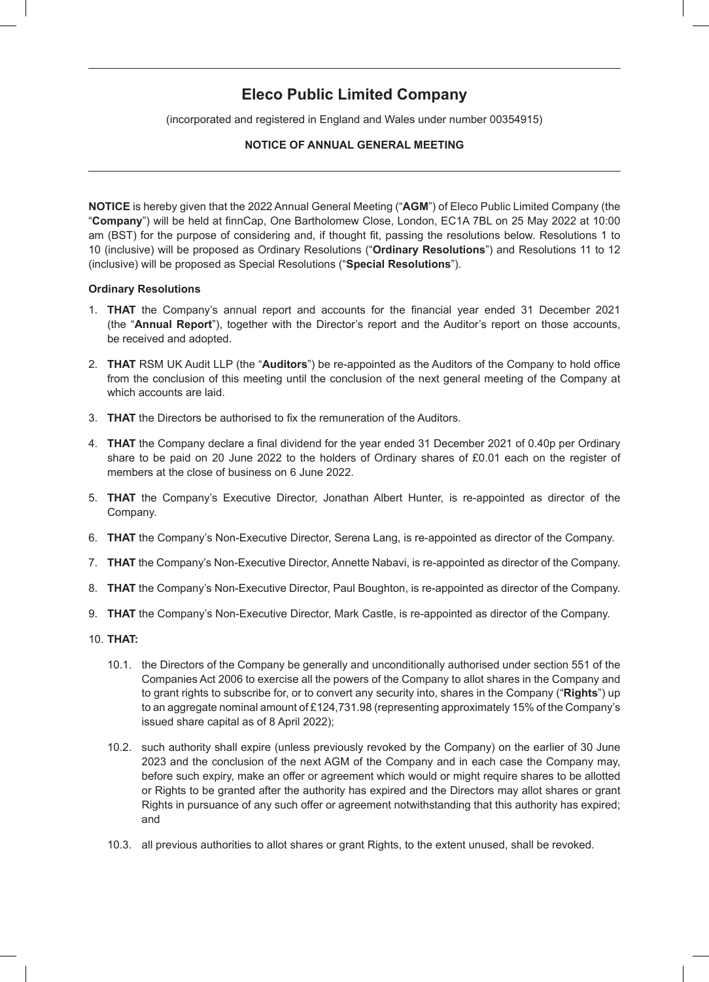# **Eleco Public Limited Company**

(incorporated and registered in England and Wales under number 00354915)

# **NOTICE OF ANNUAL GENERAL MEETING**

**NOTICE** is hereby given that the 2022 Annual General Meeting ("**AGM**") of Eleco Public Limited Company (the "**Company**") will be held at finnCap, One Bartholomew Close, London, EC1A 7BL on 25 May 2022 at 10:00 am (BST) for the purpose of considering and, if thought fit, passing the resolutions below. Resolutions 1 to 10 (inclusive) will be proposed as Ordinary Resolutions ("**Ordinary Resolutions**") and Resolutions 11 to 12 (inclusive) will be proposed as Special Resolutions ("**Special Resolutions**").

## **Ordinary Resolutions**

- 1. **THAT** the Company's annual report and accounts for the financial year ended 31 December 2021 (the "**Annual Report**"), together with the Director's report and the Auditor's report on those accounts, be received and adopted.
- 2. **THAT** RSM UK Audit LLP (the "**Auditors**") be re-appointed as the Auditors of the Company to hold office from the conclusion of this meeting until the conclusion of the next general meeting of the Company at which accounts are laid.
- 3. **THAT** the Directors be authorised to fix the remuneration of the Auditors.
- 4. **THAT** the Company declare a final dividend for the year ended 31 December 2021 of 0.40p per Ordinary share to be paid on 20 June 2022 to the holders of Ordinary shares of £0.01 each on the register of members at the close of business on 6 June 2022.
- 5. **THAT** the Company's Executive Director, Jonathan Albert Hunter, is re-appointed as director of the Company.
- 6. **THAT** the Company's Non-Executive Director, Serena Lang, is re-appointed as director of the Company.
- 7. **THAT** the Company's Non-Executive Director, Annette Nabavi, is re-appointed as director of the Company.
- 8. **THAT** the Company's Non-Executive Director, Paul Boughton, is re-appointed as director of the Company.
- 9. **THAT** the Company's Non-Executive Director, Mark Castle, is re-appointed as director of the Company.
- 10. **THAT:**
	- 10.1. the Directors of the Company be generally and unconditionally authorised under section 551 of the Companies Act 2006 to exercise all the powers of the Company to allot shares in the Company and to grant rights to subscribe for, or to convert any security into, shares in the Company ("**Rights**") up to an aggregate nominal amount of £124,731.98 (representing approximately 15% of the Company's issued share capital as of 8 April 2022);
	- 10.2. such authority shall expire (unless previously revoked by the Company) on the earlier of 30 June 2023 and the conclusion of the next AGM of the Company and in each case the Company may, before such expiry, make an offer or agreement which would or might require shares to be allotted or Rights to be granted after the authority has expired and the Directors may allot shares or grant Rights in pursuance of any such offer or agreement notwithstanding that this authority has expired; and
	- 10.3. all previous authorities to allot shares or grant Rights, to the extent unused, shall be revoked.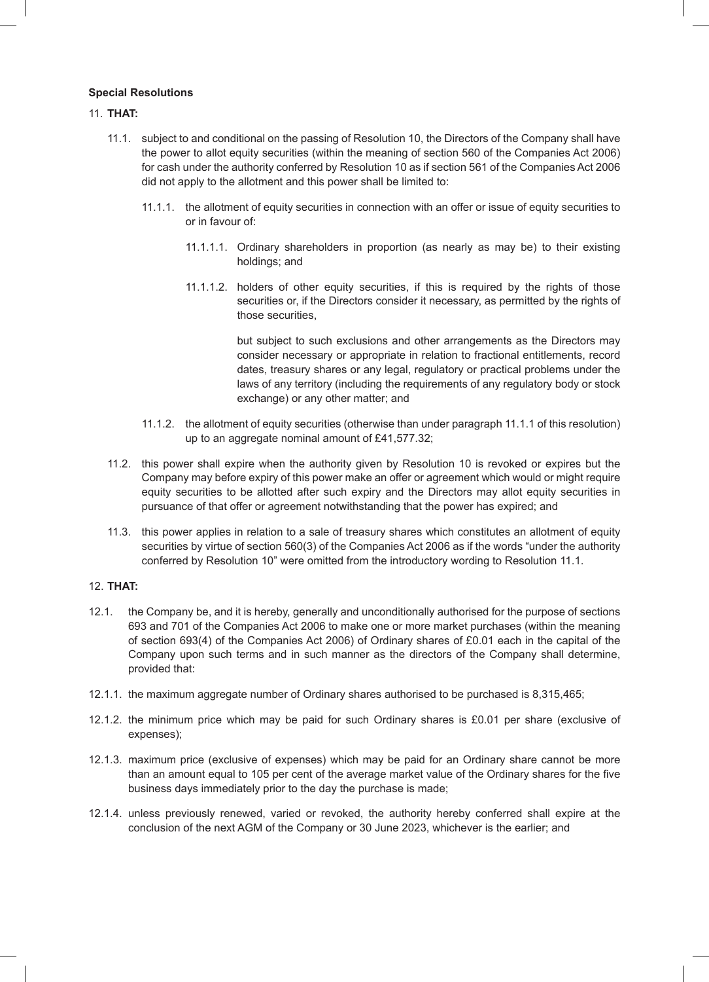# **Special Resolutions**

# 11. **THAT:**

- 11.1. subject to and conditional on the passing of Resolution 10, the Directors of the Company shall have the power to allot equity securities (within the meaning of section 560 of the Companies Act 2006) for cash under the authority conferred by Resolution 10 as if section 561 of the Companies Act 2006 did not apply to the allotment and this power shall be limited to:
	- 11.1.1. the allotment of equity securities in connection with an offer or issue of equity securities to or in favour of:
		- 11.1.1.1. Ordinary shareholders in proportion (as nearly as may be) to their existing holdings; and
		- 11.1.1.2. holders of other equity securities, if this is required by the rights of those securities or, if the Directors consider it necessary, as permitted by the rights of those securities.

but subject to such exclusions and other arrangements as the Directors may consider necessary or appropriate in relation to fractional entitlements, record dates, treasury shares or any legal, regulatory or practical problems under the laws of any territory (including the requirements of any regulatory body or stock exchange) or any other matter; and

- 11.1.2. the allotment of equity securities (otherwise than under paragraph 11.1.1 of this resolution) up to an aggregate nominal amount of £41,577.32;
- 11.2. this power shall expire when the authority given by Resolution 10 is revoked or expires but the Company may before expiry of this power make an offer or agreement which would or might require equity securities to be allotted after such expiry and the Directors may allot equity securities in pursuance of that offer or agreement notwithstanding that the power has expired; and
- 11.3. this power applies in relation to a sale of treasury shares which constitutes an allotment of equity securities by virtue of section 560(3) of the Companies Act 2006 as if the words "under the authority conferred by Resolution 10" were omitted from the introductory wording to Resolution 11.1.

# 12. **THAT:**

- 12.1. the Company be, and it is hereby, generally and unconditionally authorised for the purpose of sections 693 and 701 of the Companies Act 2006 to make one or more market purchases (within the meaning of section 693(4) of the Companies Act 2006) of Ordinary shares of £0.01 each in the capital of the Company upon such terms and in such manner as the directors of the Company shall determine, provided that:
- 12.1.1. the maximum aggregate number of Ordinary shares authorised to be purchased is 8,315,465;
- 12.1.2. the minimum price which may be paid for such Ordinary shares is £0.01 per share (exclusive of expenses);
- 12.1.3. maximum price (exclusive of expenses) which may be paid for an Ordinary share cannot be more than an amount equal to 105 per cent of the average market value of the Ordinary shares for the five business days immediately prior to the day the purchase is made;
- 12.1.4. unless previously renewed, varied or revoked, the authority hereby conferred shall expire at the conclusion of the next AGM of the Company or 30 June 2023, whichever is the earlier; and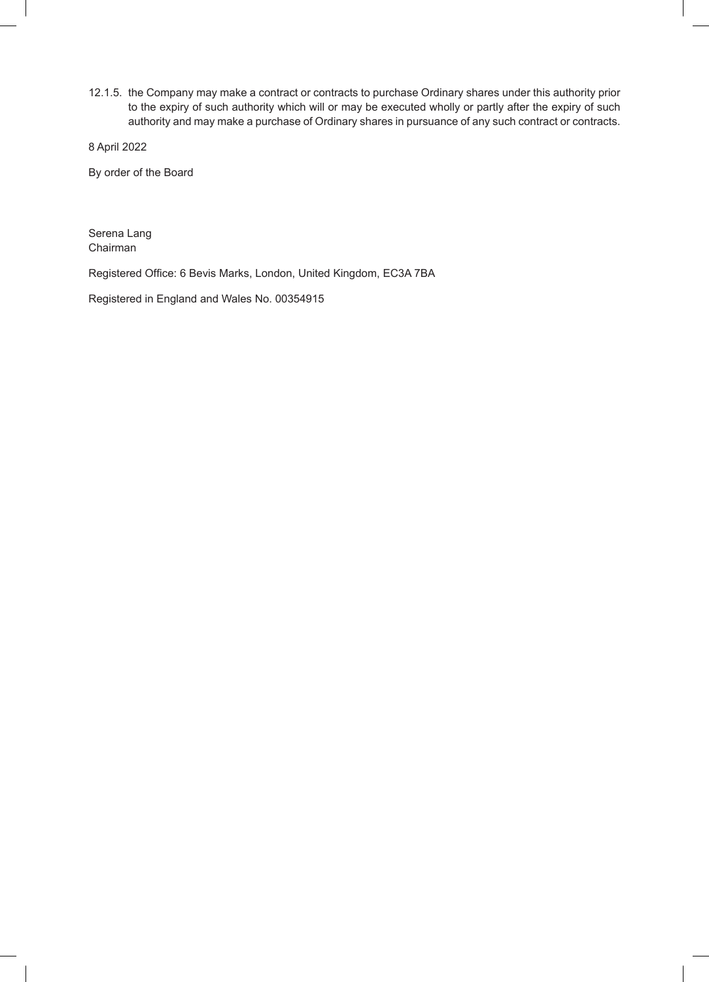12.1.5. the Company may make a contract or contracts to purchase Ordinary shares under this authority prior to the expiry of such authority which will or may be executed wholly or partly after the expiry of such authority and may make a purchase of Ordinary shares in pursuance of any such contract or contracts.

8 April 2022

By order of the Board

Serena Lang Chairman

Registered Office: 6 Bevis Marks, London, United Kingdom, EC3A 7BA

Registered in England and Wales No. 00354915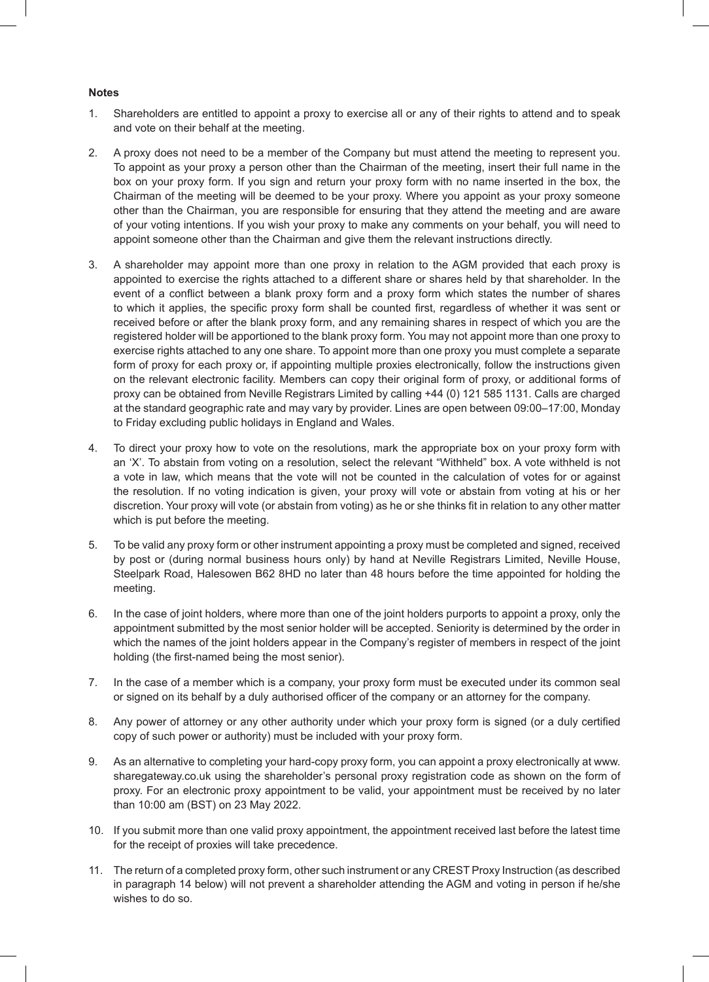### **Notes**

- 1. Shareholders are entitled to appoint a proxy to exercise all or any of their rights to attend and to speak and vote on their behalf at the meeting.
- 2. A proxy does not need to be a member of the Company but must attend the meeting to represent you. To appoint as your proxy a person other than the Chairman of the meeting, insert their full name in the box on your proxy form. If you sign and return your proxy form with no name inserted in the box, the Chairman of the meeting will be deemed to be your proxy. Where you appoint as your proxy someone other than the Chairman, you are responsible for ensuring that they attend the meeting and are aware of your voting intentions. If you wish your proxy to make any comments on your behalf, you will need to appoint someone other than the Chairman and give them the relevant instructions directly.
- 3. A shareholder may appoint more than one proxy in relation to the AGM provided that each proxy is appointed to exercise the rights attached to a different share or shares held by that shareholder. In the event of a conflict between a blank proxy form and a proxy form which states the number of shares to which it applies, the specific proxy form shall be counted first, regardless of whether it was sent or received before or after the blank proxy form, and any remaining shares in respect of which you are the registered holder will be apportioned to the blank proxy form. You may not appoint more than one proxy to exercise rights attached to any one share. To appoint more than one proxy you must complete a separate form of proxy for each proxy or, if appointing multiple proxies electronically, follow the instructions given on the relevant electronic facility. Members can copy their original form of proxy, or additional forms of proxy can be obtained from Neville Registrars Limited by calling +44 (0) 121 585 1131. Calls are charged at the standard geographic rate and may vary by provider. Lines are open between 09:00–17:00, Monday to Friday excluding public holidays in England and Wales.
- 4. To direct your proxy how to vote on the resolutions, mark the appropriate box on your proxy form with an 'X'. To abstain from voting on a resolution, select the relevant "Withheld" box. A vote withheld is not a vote in law, which means that the vote will not be counted in the calculation of votes for or against the resolution. If no voting indication is given, your proxy will vote or abstain from voting at his or her discretion. Your proxy will vote (or abstain from voting) as he or she thinks fit in relation to any other matter which is put before the meeting.
- 5. To be valid any proxy form or other instrument appointing a proxy must be completed and signed, received by post or (during normal business hours only) by hand at Neville Registrars Limited, Neville House, Steelpark Road, Halesowen B62 8HD no later than 48 hours before the time appointed for holding the meeting.
- 6. In the case of joint holders, where more than one of the joint holders purports to appoint a proxy, only the appointment submitted by the most senior holder will be accepted. Seniority is determined by the order in which the names of the joint holders appear in the Company's register of members in respect of the joint holding (the first-named being the most senior).
- 7. In the case of a member which is a company, your proxy form must be executed under its common seal or signed on its behalf by a duly authorised officer of the company or an attorney for the company.
- 8. Any power of attorney or any other authority under which your proxy form is signed (or a duly certified copy of such power or authority) must be included with your proxy form.
- 9. As an alternative to completing your hard-copy proxy form, you can appoint a proxy electronically at www. sharegateway.co.uk using the shareholder's personal proxy registration code as shown on the form of proxy. For an electronic proxy appointment to be valid, your appointment must be received by no later than 10:00 am (BST) on 23 May 2022.
- 10. If you submit more than one valid proxy appointment, the appointment received last before the latest time for the receipt of proxies will take precedence.
- 11. The return of a completed proxy form, other such instrument or any CREST Proxy Instruction (as described in paragraph 14 below) will not prevent a shareholder attending the AGM and voting in person if he/she wishes to do so.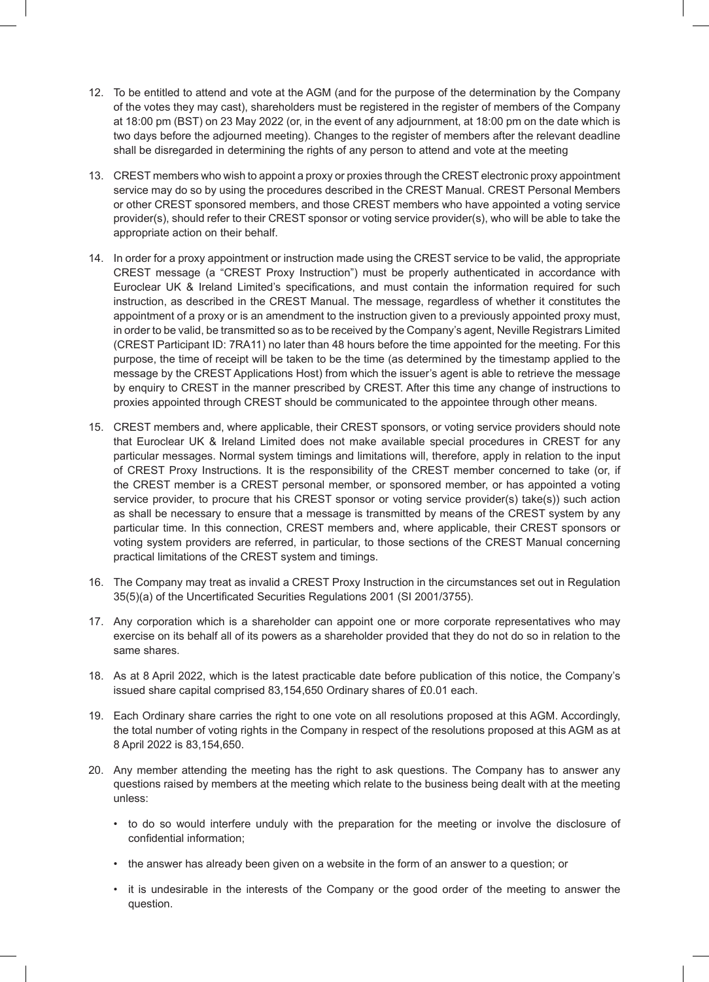- 12. To be entitled to attend and vote at the AGM (and for the purpose of the determination by the Company of the votes they may cast), shareholders must be registered in the register of members of the Company at 18:00 pm (BST) on 23 May 2022 (or, in the event of any adjournment, at 18:00 pm on the date which is two days before the adjourned meeting). Changes to the register of members after the relevant deadline shall be disregarded in determining the rights of any person to attend and vote at the meeting
- 13. CREST members who wish to appoint a proxy or proxies through the CREST electronic proxy appointment service may do so by using the procedures described in the CREST Manual. CREST Personal Members or other CREST sponsored members, and those CREST members who have appointed a voting service provider(s), should refer to their CREST sponsor or voting service provider(s), who will be able to take the appropriate action on their behalf.
- 14. In order for a proxy appointment or instruction made using the CREST service to be valid, the appropriate CREST message (a "CREST Proxy Instruction") must be properly authenticated in accordance with Euroclear UK & Ireland Limited's specifications, and must contain the information required for such instruction, as described in the CREST Manual. The message, regardless of whether it constitutes the appointment of a proxy or is an amendment to the instruction given to a previously appointed proxy must, in order to be valid, be transmitted so as to be received by the Company's agent, Neville Registrars Limited (CREST Participant ID: 7RA11) no later than 48 hours before the time appointed for the meeting. For this purpose, the time of receipt will be taken to be the time (as determined by the timestamp applied to the message by the CREST Applications Host) from which the issuer's agent is able to retrieve the message by enquiry to CREST in the manner prescribed by CREST. After this time any change of instructions to proxies appointed through CREST should be communicated to the appointee through other means.
- 15. CREST members and, where applicable, their CREST sponsors, or voting service providers should note that Euroclear UK & Ireland Limited does not make available special procedures in CREST for any particular messages. Normal system timings and limitations will, therefore, apply in relation to the input of CREST Proxy Instructions. It is the responsibility of the CREST member concerned to take (or, if the CREST member is a CREST personal member, or sponsored member, or has appointed a voting service provider, to procure that his CREST sponsor or voting service provider(s) take(s)) such action as shall be necessary to ensure that a message is transmitted by means of the CREST system by any particular time. In this connection, CREST members and, where applicable, their CREST sponsors or voting system providers are referred, in particular, to those sections of the CREST Manual concerning practical limitations of the CREST system and timings.
- 16. The Company may treat as invalid a CREST Proxy Instruction in the circumstances set out in Regulation 35(5)(a) of the Uncertificated Securities Regulations 2001 (SI 2001/3755).
- 17. Any corporation which is a shareholder can appoint one or more corporate representatives who may exercise on its behalf all of its powers as a shareholder provided that they do not do so in relation to the same shares.
- 18. As at 8 April 2022, which is the latest practicable date before publication of this notice, the Company's issued share capital comprised 83,154,650 Ordinary shares of £0.01 each.
- 19. Each Ordinary share carries the right to one vote on all resolutions proposed at this AGM. Accordingly, the total number of voting rights in the Company in respect of the resolutions proposed at this AGM as at 8 April 2022 is 83,154,650.
- 20. Any member attending the meeting has the right to ask questions. The Company has to answer any questions raised by members at the meeting which relate to the business being dealt with at the meeting unless:
	- to do so would interfere unduly with the preparation for the meeting or involve the disclosure of confidential information;
	- the answer has already been given on a website in the form of an answer to a question; or
	- it is undesirable in the interests of the Company or the good order of the meeting to answer the question.